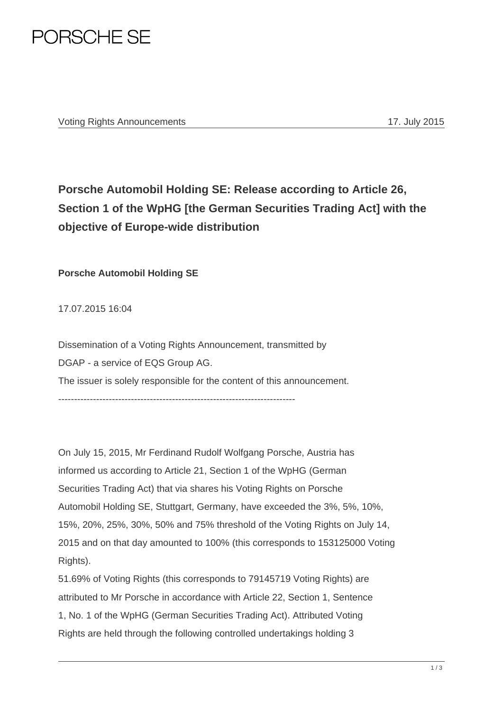

## **Porsche Automobil Holding SE: Release according to Article 26, Section 1 of the WpHG [the German Securities Trading Act] with the objective of Europe-wide distribution**

**Porsche Automobil Holding SE** 

17.07.2015 16:04

Dissemination of a Voting Rights Announcement, transmitted by DGAP - a service of EQS Group AG. The issuer is solely responsible for the content of this announcement.

---------------------------------------------------------------------------

On July 15, 2015, Mr Ferdinand Rudolf Wolfgang Porsche, Austria has informed us according to Article 21, Section 1 of the WpHG (German Securities Trading Act) that via shares his Voting Rights on Porsche Automobil Holding SE, Stuttgart, Germany, have exceeded the 3%, 5%, 10%, 15%, 20%, 25%, 30%, 50% and 75% threshold of the Voting Rights on July 14, 2015 and on that day amounted to 100% (this corresponds to 153125000 Voting Rights).

51.69% of Voting Rights (this corresponds to 79145719 Voting Rights) are attributed to Mr Porsche in accordance with Article 22, Section 1, Sentence 1, No. 1 of the WpHG (German Securities Trading Act). Attributed Voting Rights are held through the following controlled undertakings holding 3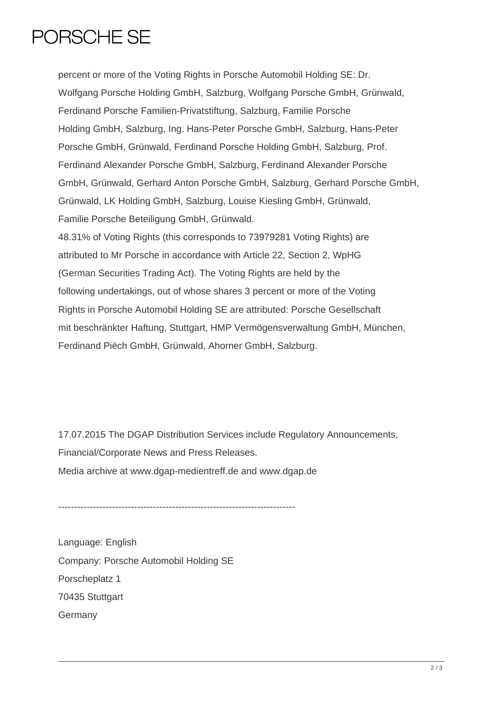## PORSCHE SE

percent or more of the Voting Rights in Porsche Automobil Holding SE: Dr. Wolfgang Porsche Holding GmbH, Salzburg, Wolfgang Porsche GmbH, Grünwald, Ferdinand Porsche Familien-Privatstiftung, Salzburg, Familie Porsche Holding GmbH, Salzburg, Ing. Hans-Peter Porsche GmbH, Salzburg, Hans-Peter Porsche GmbH, Grünwald, Ferdinand Porsche Holding GmbH, Salzburg, Prof. Ferdinand Alexander Porsche GmbH, Salzburg, Ferdinand Alexander Porsche GmbH, Grünwald, Gerhard Anton Porsche GmbH, Salzburg, Gerhard Porsche GmbH, Grünwald, LK Holding GmbH, Salzburg, Louise Kiesling GmbH, Grünwald, Familie Porsche Beteiligung GmbH, Grünwald. 48.31% of Voting Rights (this corresponds to 73979281 Voting Rights) are attributed to Mr Porsche in accordance with Article 22, Section 2, WpHG (German Securities Trading Act). The Voting Rights are held by the following undertakings, out of whose shares 3 percent or more of the Voting Rights in Porsche Automobil Holding SE are attributed: Porsche Gesellschaft mit beschränkter Haftung, Stuttgart, HMP Vermögensverwaltung GmbH, München, Ferdinand Piëch GmbH, Grünwald, Ahorner GmbH, Salzburg.

17.07.2015 The DGAP Distribution Services include Regulatory Announcements, Financial/Corporate News and Press Releases. Media archive at www.dgap-medientreff.de and www.dgap.de

---------------------------------------------------------------------------

Language: English Company: Porsche Automobil Holding SE Porscheplatz 1 70435 Stuttgart **Germany**